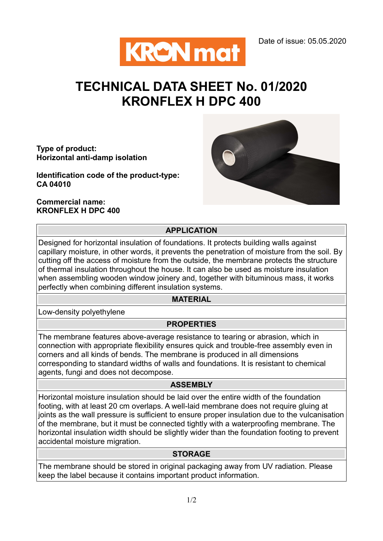

# TECHNICAL DATA SHEET No. 01/2020 KRONFLEX H DPC 400

Type of product: Horizontal anti-damp isolation

Identification code of the product-type: CA 04010

Commercial name: KRONFLEX H DPC 400



## APPLICATION

Designed for horizontal insulation of foundations. It protects building walls against capillary moisture, in other words, it prevents the penetration of moisture from the soil. By cutting off the access of moisture from the outside, the membrane protects the structure of thermal insulation throughout the house. It can also be used as moisture insulation when assembling wooden window joinery and, together with bituminous mass, it works perfectly when combining different insulation systems.

## MATERIAL

Low-density polyethylene

#### **PROPERTIES**

The membrane features above-average resistance to tearing or abrasion, which in connection with appropriate flexibility ensures quick and trouble-free assembly even in corners and all kinds of bends. The membrane is produced in all dimensions corresponding to standard widths of walls and foundations. It is resistant to chemical agents, fungi and does not decompose.

### ASSEMBLY

Horizontal moisture insulation should be laid over the entire width of the foundation footing, with at least 20 cm overlaps. A well-laid membrane does not require gluing at joints as the wall pressure is sufficient to ensure proper insulation due to the vulcanisation of the membrane, but it must be connected tightly with a waterproofing membrane. The horizontal insulation width should be slightly wider than the foundation footing to prevent accidental moisture migration.

#### **STORAGE**

The membrane should be stored in original packaging away from UV radiation. Please keep the label because it contains important product information.